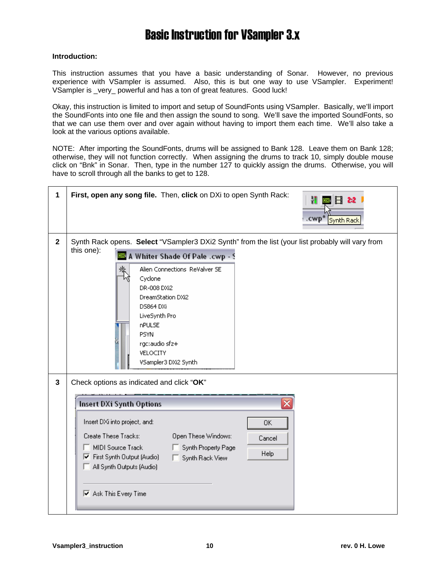#### **Introduction:**

This instruction assumes that you have a basic understanding of Sonar. However, no previous experience with VSampler is assumed. Also, this is but one way to use VSampler. Experiment! VSampler is \_very\_ powerful and has a ton of great features. Good luck!

Okay, this instruction is limited to import and setup of SoundFonts using VSampler. Basically, we'll import the SoundFonts into one file and then assign the sound to song. We'll save the imported SoundFonts, so that we can use them over and over again without having to import them each time. We'll also take a look at the various options available.

NOTE: After importing the SoundFonts, drums will be assigned to Bank 128. Leave them on Bank 128; otherwise, they will not function correctly. When assigning the drums to track 10, simply double mouse click on "Bnk" in Sonar. Then, type in the number 127 to quickly assign the drums. Otherwise, you will have to scroll through all the banks to get to 128.

| 1            | First, open any song file. Then, click on DXi to open Synth Rack:<br>H<br>FI 2∙2<br>.cwp*<br>Synth Rack                                                                                                                                                                                                                                                                                          |
|--------------|--------------------------------------------------------------------------------------------------------------------------------------------------------------------------------------------------------------------------------------------------------------------------------------------------------------------------------------------------------------------------------------------------|
| $\mathbf{2}$ | Synth Rack opens. Select "VSampler3 DXi2 Synth" from the list (your list probably will vary from<br>this one):<br><b>DXF</b> A Whiter Shade Of Pale .cwp - S<br>褖<br>Alien Connections ReValver SE<br>Cyclone<br>DR-008 DXi2<br>DreamStation DXi2<br>DS864 DXi<br>LiveSynth Pro<br><b>nPULSE</b><br><b>PSYN</b><br>rgc:audio sfz+<br>VELOCITY<br>VSampler3 DXi2 Synth                            |
| $\mathbf{3}$ | Check options as indicated and click "OK"<br><b>Insert DXi Synth Options</b><br>Insert DXi into project, and:<br>0K<br>Create These Tracks:<br>Open These Windows:<br>Cancel<br>MIDI Source Track<br>Synth Property Page<br>Help<br>$\overline{\blacktriangledown}$ First Synth Output (Audio)<br>Synth Rack View<br>All Synth Outputs (Audio)<br>$\overline{\triangledown}$ Ask This Every Time |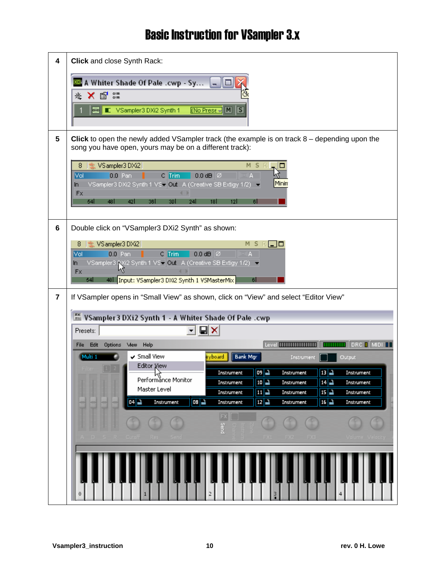| 4 | Click and close Synth Rack:                                                                                                                                                                                                                         |  |  |  |  |
|---|-----------------------------------------------------------------------------------------------------------------------------------------------------------------------------------------------------------------------------------------------------|--|--|--|--|
|   | A Whiter Shade Of Pale .cwp - Sy<br>ا دا<br>o<br>Ⅹ曾≋<br>老<br>$[No Press \rightarrow M$ $S]$<br><b>D-0</b> E VSampler3 DXi2 Synth 1                                                                                                                  |  |  |  |  |
| 5 | Click to open the newly added VSampler track (the example is on track $8$ – depending upon the<br>song you have open, yours may be on a different track):                                                                                           |  |  |  |  |
|   | * VSampler3 DXi2<br>M S<br>8<br>$C$ Trim<br>Vol<br>$0.0$ Pan<br>$0.0$ dB $\oslash$<br>A<br>Minin<br>VSampler3 DXi2 Synth 1 VSv Out A (Creative SB Extigy 1/2) =<br>ln.<br><b>Fx</b><br>54<br>481<br>42<br>36 I<br>18 I<br>30 l<br>241<br>12 I<br>61 |  |  |  |  |
| 6 | Double click on "VSampler3 DXi2 Synth" as shown:                                                                                                                                                                                                    |  |  |  |  |
|   | to VSampler3 DXi2<br>мs<br>∟⊡<br>8<br>Vol<br>$C$ Trim<br>$0.0$ dB $\varnothing$<br>$0.0$ Pan<br>⊡IA.<br>. .<br>VSampler3 RXi2 Synth 1 VSv Out A (Creative SB Extigy 1/2) =<br>In.                                                                   |  |  |  |  |
|   | N۵<br>Fx<br>54<br>48 Input: VSampler3 DXi2 Synth 1 VSMasterMix<br>61                                                                                                                                                                                |  |  |  |  |
| 7 | If VSampler opens in "Small View" as shown, click on "View" and select "Editor View"                                                                                                                                                                |  |  |  |  |
|   | VSampler 3 DXi2 Synth 1 - A Whiter Shade Of Pale .cwp                                                                                                                                                                                               |  |  |  |  |
|   | Presets:                                                                                                                                                                                                                                            |  |  |  |  |
|   | <b>MILLION</b> DRC <b>D</b> MIDI <b>II</b><br>Options<br>Mew Help<br>Level <b>Millimanning</b><br><b>Edit</b><br>File                                                                                                                               |  |  |  |  |
|   | Small View<br><b>Bank Mgr</b><br>eyboard<br>Multi 1<br>Output<br>Instrument<br>Editor View                                                                                                                                                          |  |  |  |  |
|   | $09 - 1$<br>13 L<br>Instrument<br>Instrument<br>Instrument<br>ΝÇ                                                                                                                                                                                    |  |  |  |  |
|   | Performănce Monitor<br>10 <sup>2</sup><br>ثہ 14<br>Instrument<br>Instrument<br>Instrument<br>Master Level<br>$11 - 2$<br>15 그<br>Instrument<br>Instrument<br>Instrument                                                                             |  |  |  |  |
|   | 08 그<br>$12\vert\blacktriangle$<br>$16 - 2$<br>Instrument<br>Instrument<br>Instrument<br>Instrument<br>04                                                                                                                                           |  |  |  |  |
|   | Ð                                                                                                                                                                                                                                                   |  |  |  |  |
|   | $_{\rm gas}^{\rm sc}$                                                                                                                                                                                                                               |  |  |  |  |
|   |                                                                                                                                                                                                                                                     |  |  |  |  |
|   | 0                                                                                                                                                                                                                                                   |  |  |  |  |
|   |                                                                                                                                                                                                                                                     |  |  |  |  |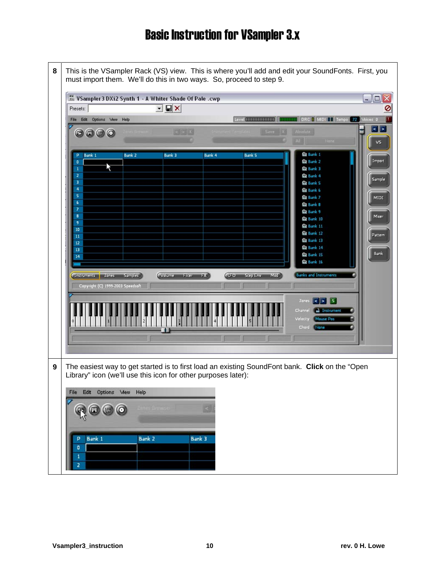|                                                                                                                                                                                                                   | ** VSampler 3 DXi2 Synth 1 - A Whiter Shade Of Pale .cwp                                                                                                                                 |                          |                                                  |                                                                                                                                                                                                                                                                                                                                                                                | $- \square $                                         |
|-------------------------------------------------------------------------------------------------------------------------------------------------------------------------------------------------------------------|------------------------------------------------------------------------------------------------------------------------------------------------------------------------------------------|--------------------------|--------------------------------------------------|--------------------------------------------------------------------------------------------------------------------------------------------------------------------------------------------------------------------------------------------------------------------------------------------------------------------------------------------------------------------------------|------------------------------------------------------|
| Presets:                                                                                                                                                                                                          | $\mathbf{I} \boxtimes \mathbf{X}$                                                                                                                                                        |                          |                                                  |                                                                                                                                                                                                                                                                                                                                                                                |                                                      |
| File Edit Options Mew Help                                                                                                                                                                                        |                                                                                                                                                                                          |                          | Level <b>THRIBIRING</b>                          | <b>THEFFERE   MIDI LE Tempo 72 Voices 0</b>                                                                                                                                                                                                                                                                                                                                    |                                                      |
| $\odot$ $\odot$ $\odot$ $\odot$                                                                                                                                                                                   |                                                                                                                                                                                          | $R = 12$                 | Save   X                                         | Absolute<br>None<br>四                                                                                                                                                                                                                                                                                                                                                          | $\leq$ $\geq$<br>V5                                  |
| Bank 1<br>P<br>۰<br>$\mathbf{1}$<br>$\overline{2}$<br>з<br>4<br>5<br>$6\phantom{.}6$<br>$\overline{\mathbf{z}}$<br>8<br>9<br>10<br>11<br>12<br>13<br>14<br>Instruments Zones<br>Copyright (C) 1999-2003 Speedsoft | <b>Bank 2</b><br>Bank 3<br><b>Volume</b><br><b>Samples</b>                                                                                                                               | Bank 4<br>Filter<br>(FX) | <b>Bank 5</b><br>(170)<br><b>Step Env</b><br>Mod | <b>ED</b> Bank 1<br>血 Bank 2<br><b>El Bank 3</b><br><b>QD</b> Bank 4<br><b>ED</b> Bank 5<br><b>ED</b> Bank 6<br><b>ED</b> Bank 7<br><b>ED</b> Bank B<br><b>EB</b> Bank 9<br><b>Da</b> Bank 10<br><b>El Bank 11</b><br><b>ED</b> Bank 12<br><b>ED</b> Bank 13<br><b>EB</b> Bank 14<br><b>面 Bank 15</b><br><b>El Bank 16</b><br><b>Banks and Instruments</b><br> S  > 5<br>Zanes | Import<br>Sample<br>MIDI<br>Mixer<br>Pattern<br>Bank |
| File Edit Options Mew<br>Bank 1<br>р                                                                                                                                                                              | The easiest way to get started is to first load an existing SoundFont bank. Click on the "Open<br>Library" icon (we'll use this icon for other purposes later):<br>Help<br><b>Bank 2</b> | <b>Bank 3</b>            |                                                  | <b>Ca</b> Instrument<br>Channel<br>Mouse Pos<br>Velocity<br>Chard<br>None                                                                                                                                                                                                                                                                                                      |                                                      |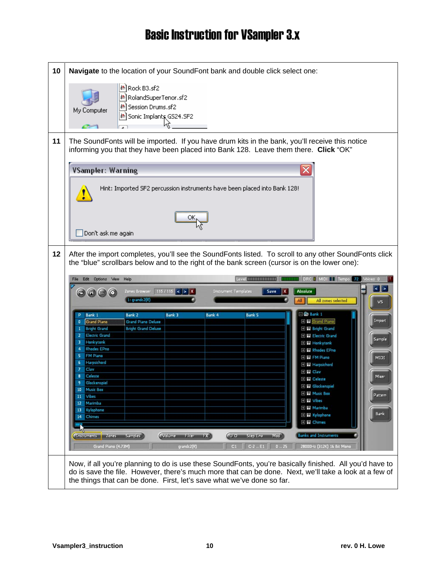| 10 | Navigate to the location of your SoundFont bank and double click select one:                                                                                                                           |  |  |
|----|--------------------------------------------------------------------------------------------------------------------------------------------------------------------------------------------------------|--|--|
|    | 图 Rock B3.sf2<br>إ2} RolandSuperTenor.sf<br> ≞] Session Drums.sf2<br>My Computer<br><u>&amp;</u> ] Sonic Implants GS24.SF2                                                                             |  |  |
|    |                                                                                                                                                                                                        |  |  |
| 11 | The SoundFonts will be imported. If you have drum kits in the bank, you'll receive this notice<br>informing you that they have been placed into Bank 128. Leave them there. Click "OK"                 |  |  |
|    | x<br><b>VSampler: Warning</b>                                                                                                                                                                          |  |  |
|    | Hint: Imported SF2 percussion instruments have been placed into Bank 128!                                                                                                                              |  |  |
|    | Don't ask me again                                                                                                                                                                                     |  |  |
| 12 | After the import completes, you'll see the SoundFonts listed. To scroll to any other SoundFonts click<br>the "blue" scrollbars below and to the right of the bank screen (cursor is on the lower one): |  |  |
|    | DRC   MIDI   Tempo 72 Voices 0<br>Level <b>Million and T</b><br>Edit Options View<br>Help<br>111111111<br>File                                                                                         |  |  |
|    | $\vert \cdot \vert$ ><br>Zones Browser 115 / 115 $\vert \leq \vert \geq \vert X \vert$<br><b>Absolute</b><br><b>Instrument Templates</b><br>$\odot$ $\odot$ $\odot$ $\odot$<br>Save                    |  |  |
|    | l : grandc2(R)<br>All zones selected<br>Αll<br>V <sub>5</sub>                                                                                                                                          |  |  |
|    | $= 6$ Bank 1<br>Bank 3<br><b>Bank 5</b><br>Bank 1<br><b>Bank 2</b><br>Bank 4<br>E <b>III</b> Grand Piano<br>Import<br><b>Grand Piano</b><br><b>Grand Piano Deluxe</b><br>٥                             |  |  |
|    | <b>E III</b> Bright Grand<br><b>Bright Grand</b><br><b>Bright Grand Deluxe</b><br><b>Electric Grand</b><br><b>E III Electric Grand</b><br>2                                                            |  |  |
|    | Sample<br>Honkytonk<br>з.<br><b>H</b> Honkytonk<br><b>Rhodes EPno</b><br>4<br><b>E W Rhodes EPno</b>                                                                                                   |  |  |
|    | 5<br><b>FM Piano</b><br><b>E III FM Piano</b><br>MIDI<br>Harpsichord<br>6<br><b>E III</b> Harpsichord                                                                                                  |  |  |
|    | Clav<br>E <b>III</b> Clav<br>Celeste<br>Mixer<br>8                                                                                                                                                     |  |  |
|    | <b>H</b> Celeste<br>Glockenspiel<br><b>H</b> Glockenspiel<br><b>Music Box</b><br>10                                                                                                                    |  |  |
|    | <b>H</b> Music Box<br>Pattern<br>Vibes<br>11<br>E III Vibes<br>Marimba<br>12                                                                                                                           |  |  |
|    | <b>H</b> Marimba<br>Xylophone<br>13<br>Bank<br><b>HI Xylophone</b>                                                                                                                                     |  |  |
|    | Chimes<br>14<br><b>El III</b> Chimes                                                                                                                                                                   |  |  |
|    | <b>Banks and Instruments</b><br>Volume<br>(P. 9)<br><b>California</b><br>Med <sup>3</sup><br>Samples <sup>3</sup><br>Filter<br><b>Step Env</b><br>Instruments<br><b>Zones</b>                          |  |  |
|    | 0.25<br>28000Hz (312K) 16 Bit Mono<br>Grand Piano (4.73M)<br>$C-2$ . E1<br>grandc2(R)<br>C1                                                                                                            |  |  |
|    | Now, if all you're planning to do is use these SoundFonts, you're basically finished. All you'd have to                                                                                                |  |  |
|    | do is save the file. However, there's much more that can be done. Next, we'll take a look at a few of<br>the things that can be done. First, let's save what we've done so far.                        |  |  |
|    |                                                                                                                                                                                                        |  |  |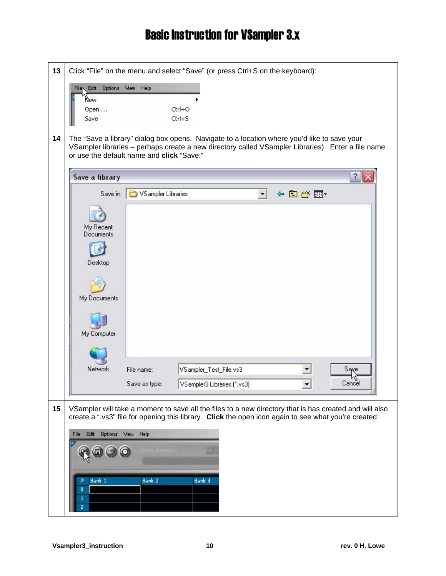| 13 | Click "File" on the menu and select "Save" (or press Ctrl+S on the keyboard):                                                                                                                                                                 |
|----|-----------------------------------------------------------------------------------------------------------------------------------------------------------------------------------------------------------------------------------------------|
|    | File Edit<br>Options Mew Help<br>New<br>Ctrl+O<br>Open<br>Ctrl+S<br>Save                                                                                                                                                                      |
| 14 | The "Save a library" dialog box opens. Navigate to a location where you'd like to save your<br>VSampler libraries - perhaps create a new directory called VSampler Libraries). Enter a file name<br>or use the default name and click "Save:" |
|    | $\hat{z}$<br>Save a library                                                                                                                                                                                                                   |
|    | 々白び風・<br>Save in: <b>D</b> VS ampler Libraries                                                                                                                                                                                                |
|    |                                                                                                                                                                                                                                               |
|    | My Recent<br>Documents                                                                                                                                                                                                                        |
|    |                                                                                                                                                                                                                                               |
|    | Desktop                                                                                                                                                                                                                                       |
|    |                                                                                                                                                                                                                                               |
|    | My Documents                                                                                                                                                                                                                                  |
|    |                                                                                                                                                                                                                                               |
|    | My Computer                                                                                                                                                                                                                                   |
|    |                                                                                                                                                                                                                                               |
|    | Network<br>Saye<br>VSampler_Test_File.vs3<br>File name:                                                                                                                                                                                       |
|    | Cancel<br>Save as type:<br>VS ampler3 Libraries (*.vs3)                                                                                                                                                                                       |
| 15 | VSampler will take a moment to save all the files to a new directory that is has created and will also                                                                                                                                        |
|    | create a ".vs3" file for opening this library. Click the open icon again to see what you're created:                                                                                                                                          |
|    | Options Mew Help<br>Edit<br>File                                                                                                                                                                                                              |
|    |                                                                                                                                                                                                                                               |
|    |                                                                                                                                                                                                                                               |
|    | Bank 1<br><b>Bank 2</b><br>Bank 3<br>P<br>٥                                                                                                                                                                                                   |
|    |                                                                                                                                                                                                                                               |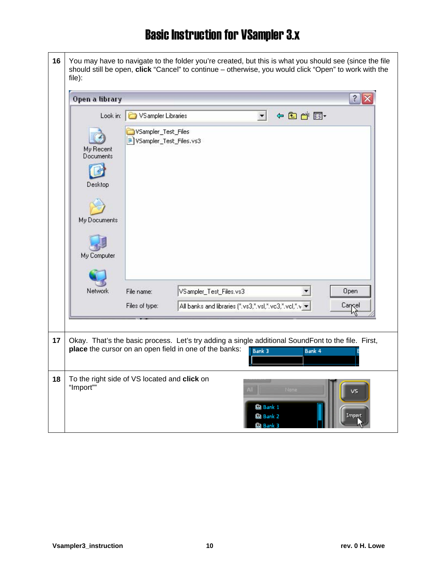**16** You may have to navigate to the folder you're created, but this is what you should see (since the file should still be open, **click** "Cancel" to continue – otherwise, you would click "Open" to work with the file):

|    | Open a library<br>$\hat{z}$                                                                                                                                                                                                                                                                                                                |
|----|--------------------------------------------------------------------------------------------------------------------------------------------------------------------------------------------------------------------------------------------------------------------------------------------------------------------------------------------|
|    | 中国首同<br>Look in: VSampler Libraries<br>$\blacktriangledown$<br>VSampler_Test_Files<br>VSampler_Test_Files.vs3<br>My Recent<br>Documents<br>Desktop<br>My Documents<br>My Computer<br><b>Network</b><br>VSampler_Test_Files.vs3<br>Open<br>File name:<br>Files of type:<br>All banks and libraries (*.vs3,*.vsl,*.vc3,*.vcl,*.v +<br>Cancel |
| 17 | Okay. That's the basic process. Let's try adding a single additional SoundFont to the file. First,<br>place the cursor on an open field in one of the banks:<br>Bank 3<br>Bank 4                                                                                                                                                           |
| 18 | To the right side of VS located and click on<br>"Import""<br>None<br>vs<br>面 Bank 1<br>面 Bank 2<br>Impart<br><b>血 Bank 3</b>                                                                                                                                                                                                               |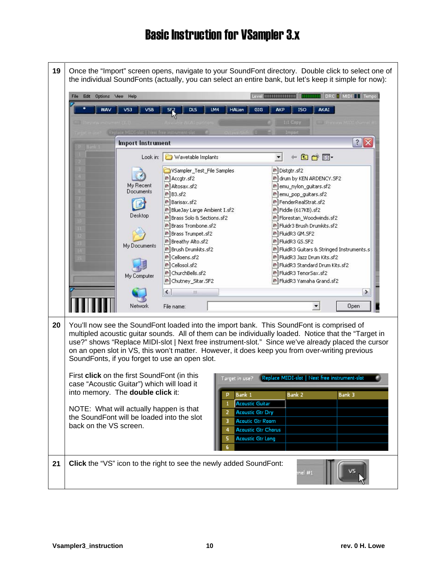| 19 |                                                                                                                                                                                                                                                                                                     | Once the "Import" screen opens, navigate to your SoundFont directory. Double click to select one of<br>the individual SoundFonts (actually, you can select an entire bank, but let's keep it simple for now):                                                                                                                                                                                                                                                                                                                                                                                 |                                                                                                                                                                                                                                                                                                                                                                                                                                                                      |
|----|-----------------------------------------------------------------------------------------------------------------------------------------------------------------------------------------------------------------------------------------------------------------------------------------------------|-----------------------------------------------------------------------------------------------------------------------------------------------------------------------------------------------------------------------------------------------------------------------------------------------------------------------------------------------------------------------------------------------------------------------------------------------------------------------------------------------------------------------------------------------------------------------------------------------|----------------------------------------------------------------------------------------------------------------------------------------------------------------------------------------------------------------------------------------------------------------------------------------------------------------------------------------------------------------------------------------------------------------------------------------------------------------------|
|    | Options Mew<br>Help<br><b>Edit</b><br>File                                                                                                                                                                                                                                                          |                                                                                                                                                                                                                                                                                                                                                                                                                                                                                                                                                                                               | Level <b>MITTITITITITITI   MITTITITI</b>   DRC   MIDI     Tempo                                                                                                                                                                                                                                                                                                                                                                                                      |
|    | WAV<br><b>VSB</b><br>VS3                                                                                                                                                                                                                                                                            | DLS<br>LM4<br><b>HALion</b><br>GIG<br>AKP<br>SF <sub>2</sub>                                                                                                                                                                                                                                                                                                                                                                                                                                                                                                                                  | AKAI<br>ISO                                                                                                                                                                                                                                                                                                                                                                                                                                                          |
|    |                                                                                                                                                                                                                                                                                                     |                                                                                                                                                                                                                                                                                                                                                                                                                                                                                                                                                                                               | 1:1 Copy<br><b>E Preview MIDI chann</b>                                                                                                                                                                                                                                                                                                                                                                                                                              |
|    | Replace MIDI-slot   Next free instrument-slot<br><b>Import Instrument</b>                                                                                                                                                                                                                           |                                                                                                                                                                                                                                                                                                                                                                                                                                                                                                                                                                                               | Import<br>$?$ $\times$                                                                                                                                                                                                                                                                                                                                                                                                                                               |
|    | Look in:                                                                                                                                                                                                                                                                                            | Wavetable Implants                                                                                                                                                                                                                                                                                                                                                                                                                                                                                                                                                                            | 白的图<br>$\frac{1}{2}$                                                                                                                                                                                                                                                                                                                                                                                                                                                 |
|    | My Recent<br>Documents<br>Desktop<br>My Documents<br>My Computer<br>Network                                                                                                                                                                                                                         | VSampler_Test_File Samples<br>料 Accgtr.sf2<br><sup>48</sup> Altosax.sf2<br>料 B3.sf2<br><sup>48</sup> Barisax.sf2<br>® BlueJay Large Ambient I.sf2<br><sup>48</sup> Brass Solo & Sections.sf2<br><sup>48</sup> Brass Trombone.sf2<br><sup>松</sup> Brass Trumpet.sf2<br>₽ Breathy Alto.sf2<br><sup>B</sup> Brush Drumkits.sf2<br># Celloens.sf2<br>₩ Cellosol.sf2<br><sup>松</sup> ChurchBells.sf2<br><sup>8</sup> Chutney_Sitar.SF2<br>$\left\langle \right\rangle$<br>Ш<br>File name:                                                                                                          | <sup>₽</sup> Distgtr.sf2<br>and drum by KEN ARDENCY.SF2<br>통 emu_nylon_guitars.sf2<br><sup>图</sup> emu_pop_guitars.sf2<br>اط# FenderRealStrat.sf2<br>통 Fiddle (617KB).sf2<br>통 Florestan_Woodwinds.sf2<br>₩ Fluidr3 Brush Drumkits.sf2<br>料FluidR3 GM.SF2<br>料 FluidR3 GS.SF2<br>B FluidR3 Guitars & Stringed Instruments.s<br>쓰 FluidR3 Jazz Drum Kits.sf2<br>씐 FluidR3 Standard Drum Kits.sf2<br>₩ FluidR3 TenorSax.sf2<br>₩ FluidR3 Yamaha Grand.sf2<br>≯<br>Open |
| 20 | SoundFonts, if you forget to use an open slot.<br>First click on the first SoundFont (in this<br>case "Acoustic Guitar") which will load it<br>into memory. The double click it:<br>NOTE: What will actually happen is that<br>the SoundFont will be loaded into the slot<br>back on the VS screen. | You'll now see the SoundFont loaded into the import bank. This SoundFont is comprised of<br>multipled acoustic guitar sounds. All of them can be individually loaded. Notice that the "Target in<br>use?" shows "Replace MIDI-slot   Next free instrument-slot." Since we've already placed the cursor<br>on an open slot in VS, this won't matter. However, it does keep you from over-writing previous<br>Target in use?<br>Bank 1<br>Р<br><b>Acoustic Guitar</b><br><b>Acoustic Gtr Dry</b><br>2<br><b>Acoutic Gtr Room</b><br>3<br><b>Acoustic Gtr Chorus</b><br><b>Acoustic Gtr Long</b> | Replace MIDI-slot   Next free instrument-slot<br><b>Bank 2</b><br><b>Bank 3</b>                                                                                                                                                                                                                                                                                                                                                                                      |
| 21 |                                                                                                                                                                                                                                                                                                     | <b>Click</b> the "VS" icon to the right to see the newly added SoundFont:                                                                                                                                                                                                                                                                                                                                                                                                                                                                                                                     | mel #1                                                                                                                                                                                                                                                                                                                                                                                                                                                               |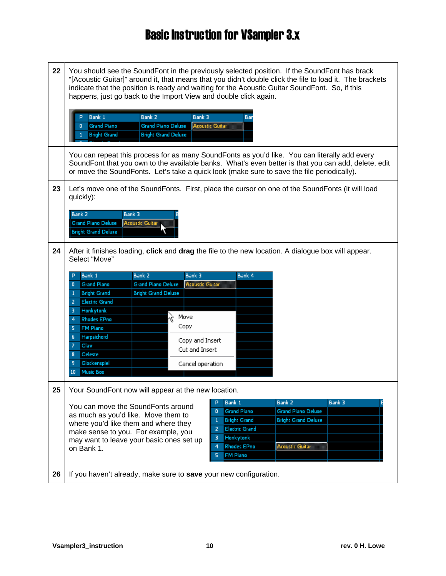22 | You should see the SoundFont in the previously selected position. If the SoundFont has brack "[Acoustic Guitar]" around it, that means that you didn't double click the file to load it. The brackets indicate that the position is ready and waiting for the Acoustic Guitar SoundFont. So, if this happens, just go back to the Import View and double click again. Bank 2 Bank 1 Bank 3 D Bar **Grand Piano Deluxe**  $\overline{0}$ **Grand Piano Acoustic Guitar Bright Grand Bright Grand Deluxe** You can repeat this process for as many SoundFonts as you'd like. You can literally add every SoundFont that you own to the available banks. What's even better is that you can add, delete, edit or move the SoundFonts. Let's take a quick look (make sure to save the file periodically). **23** Let's move one of the SoundFonts. First, place the cursor on one of the SoundFonts (it will load quickly): Bank<sub>2</sub> Bank 3 **Grand Piano Deluxe Acoustic Guitar Bright Grand Deluxe 24** After it finishes loading, **click** and **drag** the file to the new location. A dialogue box will appear. Select "Move" Bank 1 Bank 2 Bank 3 Bank 4 **Grand Piano Grand Piano Deluxe Acoustic Guitar**  $\mathbf{a}$ **Bright Grand Deluxe**  $\mathbf{1}$ **Bright Grand**  $\overline{2}$ **Electric Grand**  $\overline{3}$ Honkytonk Move  $\overline{4}$ **Rhodes EPno** Copy 5 FM Piano Harpsichord  $\mathbf{6}^{\circ}$ Copy and Insert  $\overline{z}$ Clav Cut and Insert  $\bf{8}$ Celeste 9 Glockenspiel Cancel operation 10 Music Box 25 Your SoundFont now will appear at the new location. Bank 3 Bank 1 Bank 2 You can move the SoundFonts around **Grand Piano Deluxe**  $\overline{0}$ **Grand Piano** as much as you'd like. Move them to **Bright Grand Bright Grand Deluxe**  $\overline{1}$ where you'd like them and where they  $\overline{2}$ Electric Grand make sense to you. For example, you **Honkytonk** 3 may want to leave your basic ones set up  $\overline{4}$ Rhodes EPno **Acoustic Guitar** on Bank 1.  $\overline{\mathbf{5}}$ **FM Piano 26** If you haven't already, make sure to **save** your new configuration.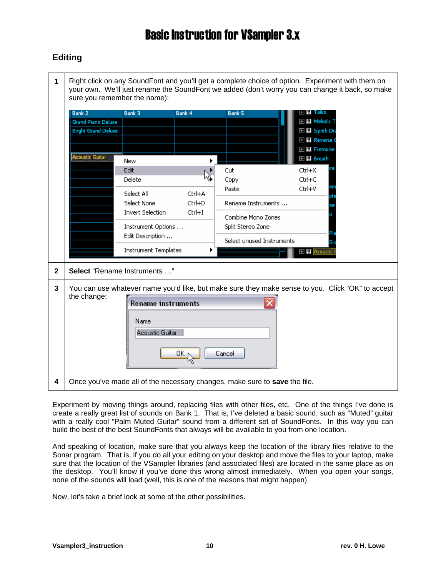#### **Editing**

| 1            | sure you remember the name): |                             |        |                                                                            | Right click on any SoundFont and you'll get a complete choice of option. Experiment with them on<br>your own. We'll just rename the SoundFont we added (don't worry you can change it back, so make |
|--------------|------------------------------|-----------------------------|--------|----------------------------------------------------------------------------|-----------------------------------------------------------------------------------------------------------------------------------------------------------------------------------------------------|
|              | <b>Bank 2</b>                | Bank 3                      | Bank 4 | <b>Bank 5</b>                                                              | ⊞ Ш Таіко                                                                                                                                                                                           |
|              | <b>Grand Piano Deluxe</b>    |                             |        |                                                                            | H III Melodic T                                                                                                                                                                                     |
|              | <b>Bright Grand Deluxe</b>   |                             |        |                                                                            | 王 III Synth Dn<br><b>HI Reverse</b>                                                                                                                                                                 |
|              |                              |                             |        |                                                                            | 王 III Fretnoise                                                                                                                                                                                     |
|              | <b>Acoustic Guitar</b>       | New                         |        |                                                                            | 王 W Breath                                                                                                                                                                                          |
|              |                              | Edit                        |        | Cut                                                                        | Ctrl+X                                                                                                                                                                                              |
|              |                              | Delete                      |        | Copy                                                                       | Ctrl+C                                                                                                                                                                                              |
|              |                              | Select All                  | Ctrl+A | Paste                                                                      | Ctrl+V                                                                                                                                                                                              |
|              |                              | Select None                 | Ctrl+D | Rename Instruments                                                         |                                                                                                                                                                                                     |
|              |                              | <b>Invert Selection</b>     | Ctrl+I | Combine Mono Zones                                                         |                                                                                                                                                                                                     |
|              |                              | Instrument Options          |        | Split Stereo Zone                                                          |                                                                                                                                                                                                     |
|              |                              | Edit Description            |        | Select unused Instruments                                                  |                                                                                                                                                                                                     |
|              |                              | <b>Instrument Templates</b> |        |                                                                            | <b>H</b> Acoustic                                                                                                                                                                                   |
|              |                              |                             |        |                                                                            |                                                                                                                                                                                                     |
| $\mathbf{2}$ | Select "Rename Instruments " |                             |        |                                                                            |                                                                                                                                                                                                     |
| 3            |                              |                             |        |                                                                            | You can use whatever name you'd like, but make sure they make sense to you. Click "OK" to accept                                                                                                    |
|              | the change:                  | <b>Rename instruments</b>   |        |                                                                            |                                                                                                                                                                                                     |
|              |                              |                             |        |                                                                            |                                                                                                                                                                                                     |
|              |                              | Name                        |        |                                                                            |                                                                                                                                                                                                     |
|              |                              | Acoustic Guitar             |        |                                                                            |                                                                                                                                                                                                     |
|              |                              |                             |        |                                                                            |                                                                                                                                                                                                     |
|              |                              |                             | OΚ     | Cancel                                                                     |                                                                                                                                                                                                     |
|              |                              |                             |        |                                                                            |                                                                                                                                                                                                     |
| 4            |                              |                             |        | Once you've made all of the necessary changes, make sure to save the file. |                                                                                                                                                                                                     |

Experiment by moving things around, replacing files with other files, etc. One of the things I've done is create a really great list of sounds on Bank 1. That is, I've deleted a basic sound, such as "Muted" guitar with a really cool "Palm Muted Guitar" sound from a different set of SoundFonts. In this way you can build the best of the best SoundFonts that always will be available to you from one location.

And speaking of location, make sure that you always keep the location of the library files relative to the Sonar program. That is, if you do all your editing on your desktop and move the files to your laptop, make sure that the location of the VSampler libraries (and associated files) are located in the same place as on the desktop. You'll know if you've done this wrong almost immediately. When you open your songs, none of the sounds will load (well, this is one of the reasons that might happen).

Now, let's take a brief look at some of the other possibilities.